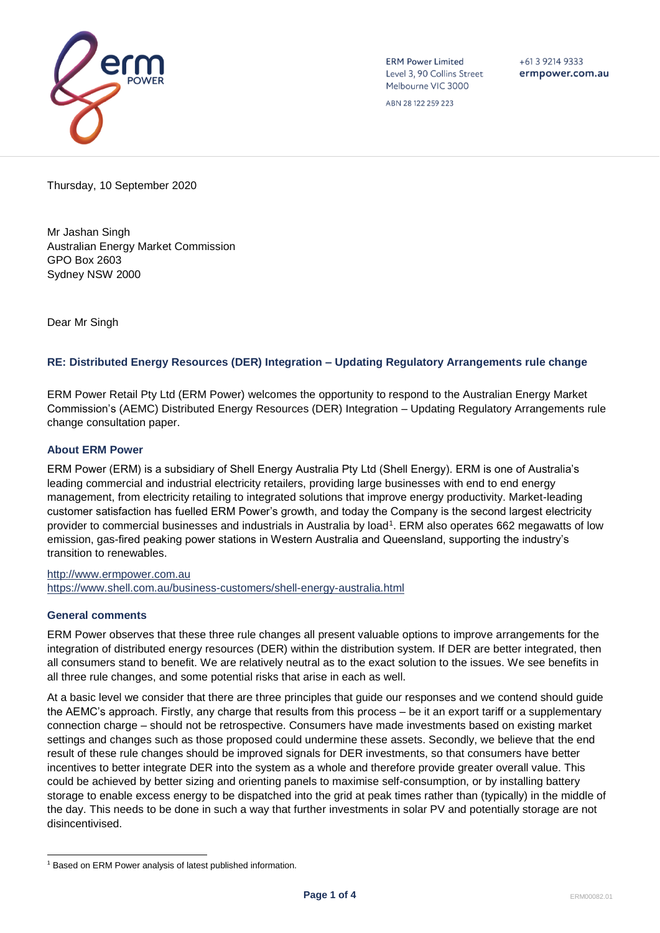

**ERM Power Limited** Level 3, 90 Collins Street Melbourne VIC 3000

ABN 28 122 259 223

 $+61$  3 9214 9333 ermpower.com.au

Thursday, 10 September 2020

Mr Jashan Singh Australian Energy Market Commission GPO Box 2603 Sydney NSW 2000

Dear Mr Singh

# **RE: Distributed Energy Resources (DER) Integration – Updating Regulatory Arrangements rule change**

ERM Power Retail Pty Ltd (ERM Power) welcomes the opportunity to respond to the Australian Energy Market Commission's (AEMC) Distributed Energy Resources (DER) Integration – Updating Regulatory Arrangements rule change consultation paper.

## **About ERM Power**

ERM Power (ERM) is a subsidiary of Shell Energy Australia Pty Ltd (Shell Energy). ERM is one of Australia's leading commercial and industrial electricity retailers, providing large businesses with end to end energy management, from electricity retailing to integrated solutions that improve energy productivity. Market-leading customer satisfaction has fuelled ERM Power's growth, and today the Company is the second largest electricity provider to commercial businesses and industrials in Australia by load<sup>1</sup>. ERM also operates 662 megawatts of low emission, gas-fired peaking power stations in Western Australia and Queensland, supporting the industry's transition to renewables.

[http://www.ermpower.com.au](http://www.ermpower.com.au/) <https://www.shell.com.au/business-customers/shell-energy-australia.html>

## **General comments**

ERM Power observes that these three rule changes all present valuable options to improve arrangements for the integration of distributed energy resources (DER) within the distribution system. If DER are better integrated, then all consumers stand to benefit. We are relatively neutral as to the exact solution to the issues. We see benefits in all three rule changes, and some potential risks that arise in each as well.

At a basic level we consider that there are three principles that guide our responses and we contend should guide the AEMC's approach. Firstly, any charge that results from this process – be it an export tariff or a supplementary connection charge – should not be retrospective. Consumers have made investments based on existing market settings and changes such as those proposed could undermine these assets. Secondly, we believe that the end result of these rule changes should be improved signals for DER investments, so that consumers have better incentives to better integrate DER into the system as a whole and therefore provide greater overall value. This could be achieved by better sizing and orienting panels to maximise self-consumption, or by installing battery storage to enable excess energy to be dispatched into the grid at peak times rather than (typically) in the middle of the day. This needs to be done in such a way that further investments in solar PV and potentially storage are not disincentivised.

<sup>&</sup>lt;sup>1</sup> Based on ERM Power analysis of latest published information.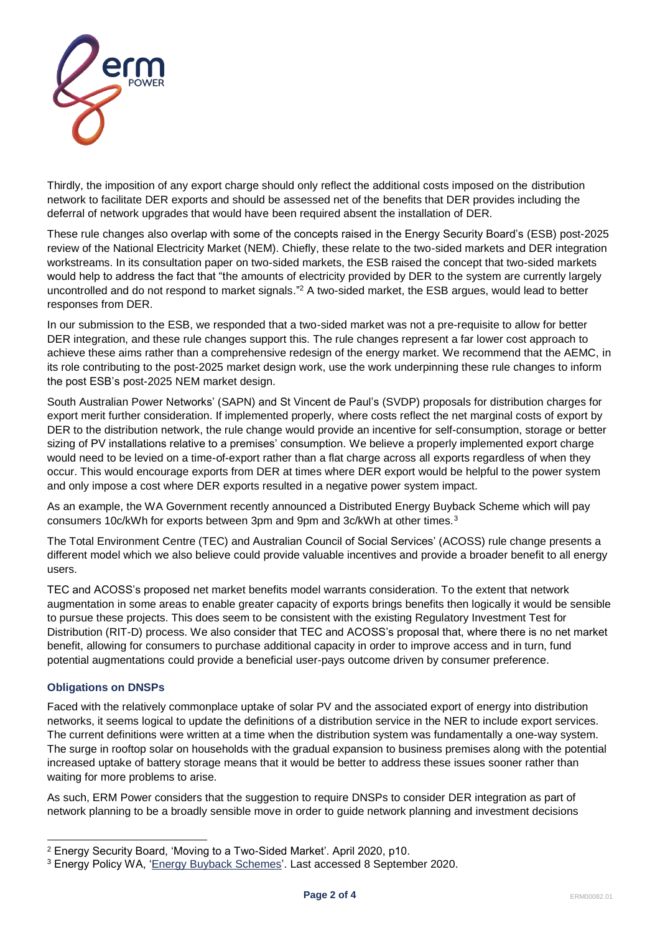

Thirdly, the imposition of any export charge should only reflect the additional costs imposed on the distribution network to facilitate DER exports and should be assessed net of the benefits that DER provides including the deferral of network upgrades that would have been required absent the installation of DER.

These rule changes also overlap with some of the concepts raised in the Energy Security Board's (ESB) post-2025 review of the National Electricity Market (NEM). Chiefly, these relate to the two-sided markets and DER integration workstreams. In its consultation paper on two-sided markets, the ESB raised the concept that two-sided markets would help to address the fact that "the amounts of electricity provided by DER to the system are currently largely uncontrolled and do not respond to market signals."<sup>2</sup> A two-sided market, the ESB argues, would lead to better responses from DER.

In our submission to the ESB, we responded that a two-sided market was not a pre-requisite to allow for better DER integration, and these rule changes support this. The rule changes represent a far lower cost approach to achieve these aims rather than a comprehensive redesign of the energy market. We recommend that the AEMC, in its role contributing to the post-2025 market design work, use the work underpinning these rule changes to inform the post ESB's post-2025 NEM market design.

South Australian Power Networks' (SAPN) and St Vincent de Paul's (SVDP) proposals for distribution charges for export merit further consideration. If implemented properly, where costs reflect the net marginal costs of export by DER to the distribution network, the rule change would provide an incentive for self-consumption, storage or better sizing of PV installations relative to a premises' consumption. We believe a properly implemented export charge would need to be levied on a time-of-export rather than a flat charge across all exports regardless of when they occur. This would encourage exports from DER at times where DER export would be helpful to the power system and only impose a cost where DER exports resulted in a negative power system impact.

As an example, the WA Government recently announced a Distributed Energy Buyback Scheme which will pay consumers 10c/kWh for exports between 3pm and 9pm and 3c/kWh at other times.<sup>3</sup>

The Total Environment Centre (TEC) and Australian Council of Social Services' (ACOSS) rule change presents a different model which we also believe could provide valuable incentives and provide a broader benefit to all energy users.

TEC and ACOSS's proposed net market benefits model warrants consideration. To the extent that network augmentation in some areas to enable greater capacity of exports brings benefits then logically it would be sensible to pursue these projects. This does seem to be consistent with the existing Regulatory Investment Test for Distribution (RIT-D) process. We also consider that TEC and ACOSS's proposal that, where there is no net market benefit, allowing for consumers to purchase additional capacity in order to improve access and in turn, fund potential augmentations could provide a beneficial user-pays outcome driven by consumer preference.

# **Obligations on DNSPs**

Faced with the relatively commonplace uptake of solar PV and the associated export of energy into distribution networks, it seems logical to update the definitions of a distribution service in the NER to include export services. The current definitions were written at a time when the distribution system was fundamentally a one-way system. The surge in rooftop solar on households with the gradual expansion to business premises along with the potential increased uptake of battery storage means that it would be better to address these issues sooner rather than waiting for more problems to arise.

As such, ERM Power considers that the suggestion to require DNSPs to consider DER integration as part of network planning to be a broadly sensible move in order to guide network planning and investment decisions

<sup>2</sup> Energy Security Board, 'Moving to a Two-Sided Market'. April 2020, p10.

<sup>&</sup>lt;sup>3</sup> Energy Policy WA, ['Energy Buyback Schemes'](https://www.wa.gov.au/organisation/energy-policy-wa/energy-buyback-schemes). Last accessed 8 September 2020.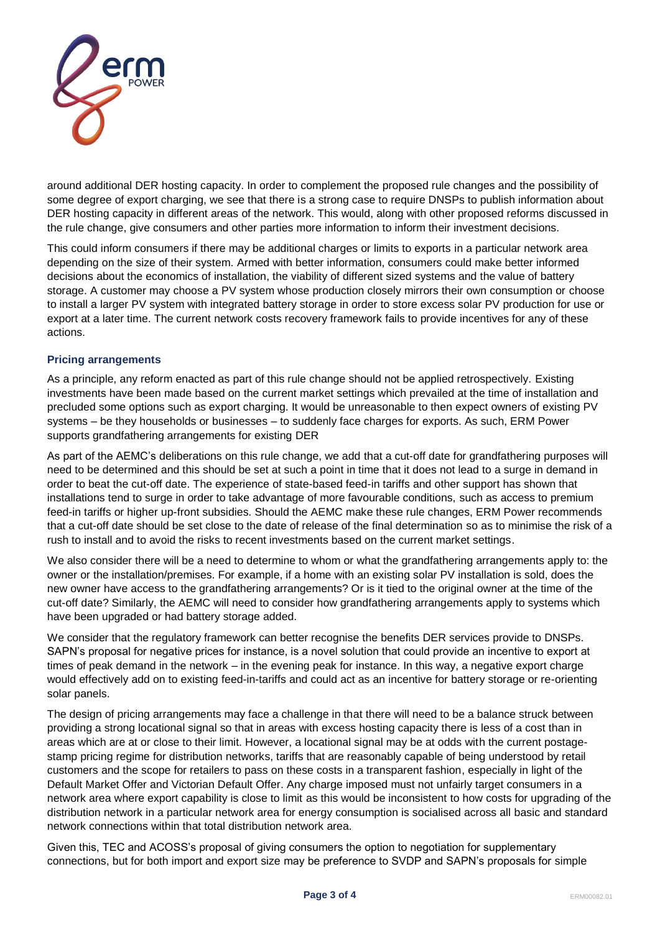

around additional DER hosting capacity. In order to complement the proposed rule changes and the possibility of some degree of export charging, we see that there is a strong case to require DNSPs to publish information about DER hosting capacity in different areas of the network. This would, along with other proposed reforms discussed in the rule change, give consumers and other parties more information to inform their investment decisions.

This could inform consumers if there may be additional charges or limits to exports in a particular network area depending on the size of their system. Armed with better information, consumers could make better informed decisions about the economics of installation, the viability of different sized systems and the value of battery storage. A customer may choose a PV system whose production closely mirrors their own consumption or choose to install a larger PV system with integrated battery storage in order to store excess solar PV production for use or export at a later time. The current network costs recovery framework fails to provide incentives for any of these actions.

## **Pricing arrangements**

As a principle, any reform enacted as part of this rule change should not be applied retrospectively. Existing investments have been made based on the current market settings which prevailed at the time of installation and precluded some options such as export charging. It would be unreasonable to then expect owners of existing PV systems – be they households or businesses – to suddenly face charges for exports. As such, ERM Power supports grandfathering arrangements for existing DER

As part of the AEMC's deliberations on this rule change, we add that a cut-off date for grandfathering purposes will need to be determined and this should be set at such a point in time that it does not lead to a surge in demand in order to beat the cut-off date. The experience of state-based feed-in tariffs and other support has shown that installations tend to surge in order to take advantage of more favourable conditions, such as access to premium feed-in tariffs or higher up-front subsidies. Should the AEMC make these rule changes, ERM Power recommends that a cut-off date should be set close to the date of release of the final determination so as to minimise the risk of a rush to install and to avoid the risks to recent investments based on the current market settings.

We also consider there will be a need to determine to whom or what the grandfathering arrangements apply to: the owner or the installation/premises. For example, if a home with an existing solar PV installation is sold, does the new owner have access to the grandfathering arrangements? Or is it tied to the original owner at the time of the cut-off date? Similarly, the AEMC will need to consider how grandfathering arrangements apply to systems which have been upgraded or had battery storage added.

We consider that the regulatory framework can better recognise the benefits DER services provide to DNSPs. SAPN's proposal for negative prices for instance, is a novel solution that could provide an incentive to export at times of peak demand in the network – in the evening peak for instance. In this way, a negative export charge would effectively add on to existing feed-in-tariffs and could act as an incentive for battery storage or re-orienting solar panels.

The design of pricing arrangements may face a challenge in that there will need to be a balance struck between providing a strong locational signal so that in areas with excess hosting capacity there is less of a cost than in areas which are at or close to their limit. However, a locational signal may be at odds with the current postagestamp pricing regime for distribution networks, tariffs that are reasonably capable of being understood by retail customers and the scope for retailers to pass on these costs in a transparent fashion, especially in light of the Default Market Offer and Victorian Default Offer. Any charge imposed must not unfairly target consumers in a network area where export capability is close to limit as this would be inconsistent to how costs for upgrading of the distribution network in a particular network area for energy consumption is socialised across all basic and standard network connections within that total distribution network area.

Given this, TEC and ACOSS's proposal of giving consumers the option to negotiation for supplementary connections, but for both import and export size may be preference to SVDP and SAPN's proposals for simple